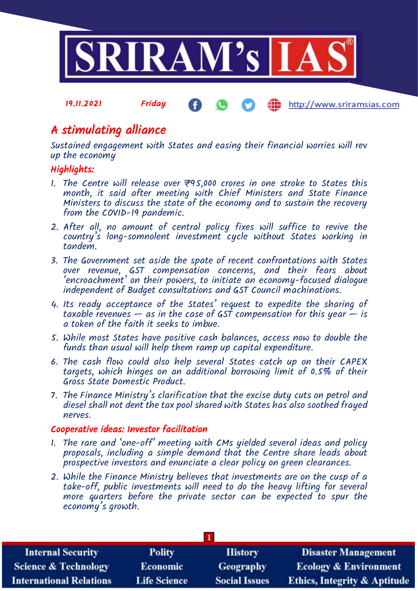

# A stimulating alliance

Sustained engagement with States and easing their financial worries will rev up the economy

# Highlights:

- 1. The Centre will release over  $\overline{\tau}$ 95,000 crores in one stroke to States this month, it said after meeting with Chief Ministers and State Finance Ministers to discuss the state of the economy and to sustain the recovery from the COVID-19 pandemic.
- 2. After all, no amount of central policy fixes will suffice to revive the country's long-somnolent investment cycle without States working in tandem.
- 3. The Government set aside the spate of recent confrontations with States over revenue, GST compensation concerns, and their fears about 'encroachment' on their powers, to initiate an economy-focused dialogue independent of Budget consultations and GST Council machinations.
- 4. Its ready acceptance of the States' request to expedite the sharing of taxable revenues  $-$  as in the case of GST compensation for this year  $-$  is a token of the faith it seeks to imbue.
- 5. While most States have positive cash balances, access now to double the funds than usual will help them ramp up capital expenditure.
- 6. The cash flow could also help several States catch up on their CAPEX targets, which hinges on an additional borrowing limit of 0.5% of their Gross State Domestic Product.
- 7. The Finance Ministry's clarification that the excise duty cuts on petrol and diesel shall not dent the tax pool shared with States has also soothed frayed nerves.

## Cooperative ideas: Investor facilitation

- 1. The rare and 'one-off' meeting with CMs yielded several ideas and policy proposals, including a simple demand that the Centre share leads about prospective investors and enunciate a clear policy on green clearances.
- 2. While the Finance Ministry believes that investments are on the cusp of a take-off, public investments will need to do the heavy lifting for several more quarters before the private sector can be expected to spur the economy's growth.

| <b>Internal Security</b>        | <b>Polity</b>       | <b>History</b>       | <b>Disaster Management</b>              |
|---------------------------------|---------------------|----------------------|-----------------------------------------|
| <b>Science &amp; Technology</b> | <b>Economic</b>     | Geography            | <b>Ecology &amp; Environment</b>        |
| <b>International Relations</b>  | <b>Life Science</b> | <b>Social Issues</b> | <b>Ethics, Integrity &amp; Aptitude</b> |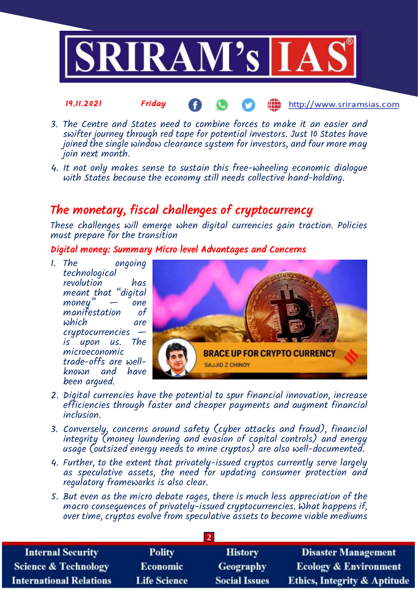

- 3. The Centre and States need to combine forces to make it an easier and swifter journey through red tape for potential investors. Just 10 States have joined the single window clearance system for investors, and four more may join next month.
- 4. It not only makes sense to sustain this free-wheeling economic dialogue with States because the economy still needs collective hand-holding.

# The monetary, fiscal challenges of cryptocurrency

These challenges will emerge when digital currencies gain traction. Policies must prepare for the transition

Digital money: Summary Micro level Advantages and Concerns

1. The ongoing technological revolution has meant that "digital money" — "one<br>manifestation of manifestation which are cryptocurrencies is upon us. microeconomic trade-offs are wellknown and have been argued.



- 2. Digital currencies have the potential to spur financial innovation, increase efficiencies through faster and cheaper payments and augment financial inclusion.
- 3. Conversely, concerns around safety (cyber attacks and fraud), financial integrity (money laundering and evasion of capital controls) and energy usage (outsized energy needs to mine cryptos) are also well-documented.
- 4. Further, to the extent that privately-issued cryptos currently serve largely as speculative assets, the need for updating consumer protection and regulatory frameworks is also clear.
- 5. But even as the micro debate rages, there is much less appreciation of the macro consequences of privately-issued cryptocurrencies. What happens if, over time, cryptos evolve from speculative assets to become viable mediums

| <b>Internal Security</b>        | <b>Polity</b>       | <b>History</b>       | <b>Disaster Management</b>              |
|---------------------------------|---------------------|----------------------|-----------------------------------------|
| <b>Science &amp; Technology</b> | <b>Economic</b>     | Geography            | <b>Ecology &amp; Environment</b>        |
| <b>International Relations</b>  | <b>Life Science</b> | <b>Social Issues</b> | <b>Ethics, Integrity &amp; Aptitude</b> |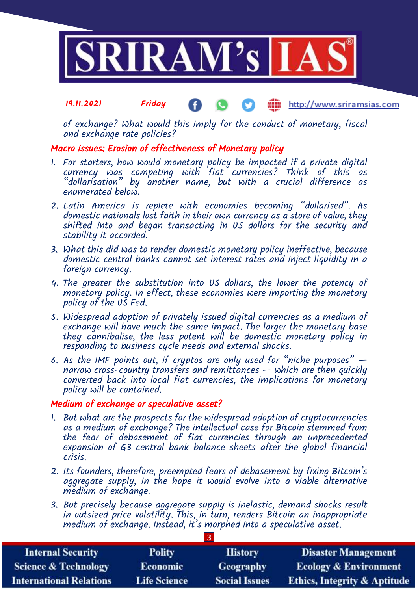

of exchange? What would this imply for the conduct of monetary, fiscal and exchange rate policies?

### Macro issues: Erosion of effectiveness of Monetary policy

- 1. For starters, how would monetary policy be impacted if a private digital currency was competing with fiat currencies? Think of this as "dollarisation" by another name, but with a crucial difference as enumerated below.
- 2. Latin America is replete with economies becoming "dollarised". As domestic nationals lost faith in their own currency as a store of value, they shifted into and began transacting in US dollars for the security and stability it accorded.
- 3. What this did was to render domestic monetary policy ineffective, because domestic central banks cannot set interest rates and inject liquidity in a foreign currency.
- 4. The greater the substitution into US dollars, the lower the potency of monetary policy. In effect, these economies were importing the monetary policy of the US Fed.
- 5. Widespread adoption of privately issued digital currencies as a medium of exchange will have much the same impact. The larger the monetary base they cannibalise, the less potent will be domestic monetary policy in responding to business cycle needs and external shocks.
- 6. As the IMF points out, if cryptos are only used for "niche purposes"  $$ narrow cross-country transfers and remittances — which are then quickly converted back into local fiat currencies, the implications for monetary policy will be contained.

### Medium of exchange or speculative asset?

- 1. But what are the prospects for the widespread adoption of cryptocurrencies as a medium of exchange? The intellectual case for Bitcoin stemmed from the fear of debasement of fiat currencies through an unprecedented expansion of G3 central bank balance sheets after the global financial crisis.
- 2. Its founders, therefore, preempted fears of debasement by fixing Bitcoin's aggregate supply, in the hope it would evolve into a viable alternative medium of exchange.
- 3. But precisely because aggregate supply is inelastic, demand shocks result in outsized price volatility. This, in turn, renders Bitcoin an inappropriate medium of exchange. Instead, it's morphed into a speculative asset.

**3**

| <b>Internal Security</b>        | <b>Polity</b>       | <b>History</b>       | <b>Disaster Management</b>              |
|---------------------------------|---------------------|----------------------|-----------------------------------------|
| <b>Science &amp; Technology</b> | <b>Economic</b>     | <b>Geography</b>     | <b>Ecology &amp; Environment</b>        |
| <b>International Relations</b>  | <b>Life Science</b> | <b>Social Issues</b> | <b>Ethics, Integrity &amp; Aptitude</b> |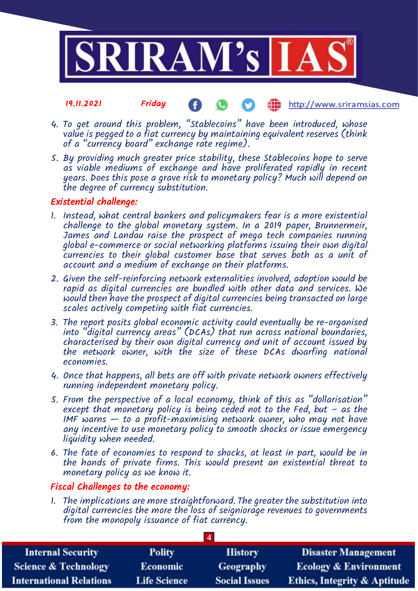

- 4. To get around this problem, "Stablecoins" have been introduced, whose value is pegged to a fiat currency by maintaining equivalent reserves (think of a "currency board" exchange rate regime).
- 5. By providing much greater price stability, these Stablecoins hope to serve as viable mediums of exchange and have proliferated rapidly in recent years. Does this pose a grave risk to monetary policy? Much will depend on the degree of currency substitution.

### Existential challenge:

- 1. Instead, what central bankers and policymakers fear is a more existential challenge to the global monetary system. In a 2019 paper, Brunnermeir, James and Landau raise the prospect of mega tech companies running global e-commerce or social networking platforms issuing their own digital currencies to their global customer base that serves both as a unit of account and a medium of exchange on their platforms.
- 2. Given the self-reinforcing network externalities involved, adoption would be rapid as digital currencies are bundled with other data and services. We would then have the prospect of digital currencies being transacted on large scales actively competing with fiat currencies.
- 3. The report posits global economic activity could eventually be re-organised into "digital currency areas" (DCAs) that run across national boundaries, characterised by their own digital currency and unit of account issued by the network owner, with the size of these DCAs dwarfing national economies.
- 4. Once that happens, all bets are off with private network owners effectively running independent monetary policy.
- 5. From the perspective of a local economy, think of this as "dollarisation" except that monetary policy is being ceded not to the Fed, but  $-$  as the IMF warns  $-$  to a profit-maximising network owner, who may not have any incentive to use monetary policy to smooth shocks or issue emergency liquidity when needed.
- 6. The fate of economies to respond to shocks, at least in part, would be in the hands of private firms. This would present an existential threat to monetary policy as we know it.

## Fiscal Challenges to the economy:

1. The implications are more straightforward. The greater the substitution into digital currencies the more the loss of seigniorage revenues to governments from the monopoly issuance of fiat currency.

**4**

| <b>Internal Security</b>        | <b>Polity</b>       | <b>History</b>       | <b>Disaster Management</b>              |
|---------------------------------|---------------------|----------------------|-----------------------------------------|
| <b>Science &amp; Technology</b> | <b>Economic</b>     | Geography            | <b>Ecology &amp; Environment</b>        |
| <b>International Relations</b>  | <b>Life Science</b> | <b>Social Issues</b> | <b>Ethics, Integrity &amp; Aptitude</b> |